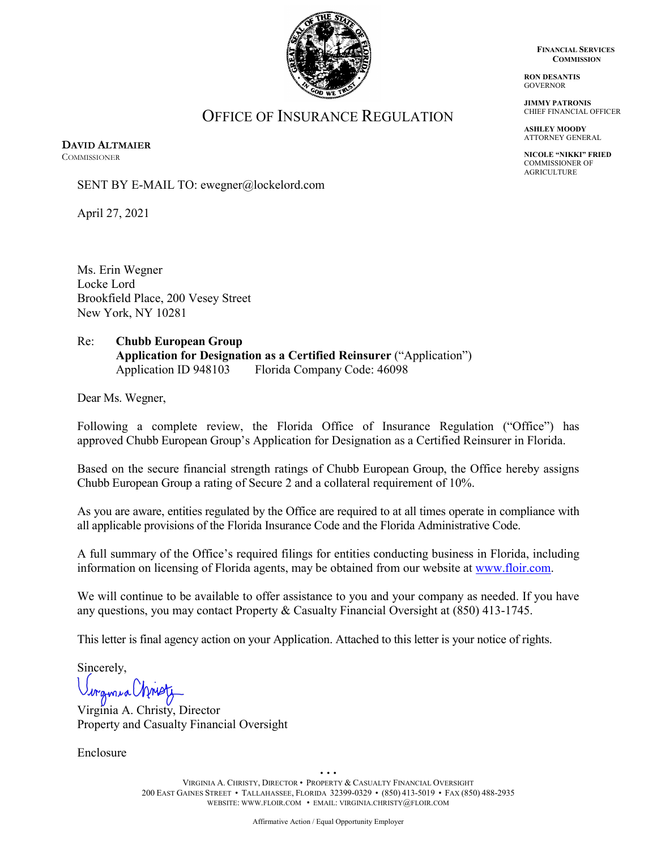

• • • VIRGINIA A. CHRISTY, DIRECTOR • PROPERTY & CASUALTY FINANCIAL OVERSIGHT 200 EAST GAINES STREET • TALLAHASSEE, FLORIDA 32399-0329 • (850) 413-5019 • FAX (850) 488-2935 **FINANCIAL SERVICES COMMISSION**

**RON DESANTIS** GOVERNOR

**JIMMY PATRONIS** CHIEF FINANCIAL OFFICER

**ASHLEY MOODY** ATTORNEY GENERAL

**NICOLE "NIKKI" FRIED** COMMISSIONER OF AGRICULTURE

OFFICE OF INSURANCE REGULATION

**DAVID ALTMAIER COMMISSIONER** 

SENT BY E-MAIL TO: ewegner@lockelord.com

April 27, 2021

Ms. Erin Wegner Locke Lord Brookfield Place, 200 Vesey Street New York, NY 10281

## Re: **Chubb European Group Application for Designation as a Certified Reinsurer** ("Application") Application ID 948103 Florida Company Code: 46098

Dear Ms. Wegner,

Following a complete review, the Florida Office of Insurance Regulation ("Office") has approved Chubb European Group's Application for Designation as a Certified Reinsurer in Florida.

Based on the secure financial strength ratings of Chubb European Group, the Office hereby assigns Chubb European Group a rating of Secure 2 and a collateral requirement of 10%.

As you are aware, entities regulated by the Office are required to at all times operate in compliance with all applicable provisions of the Florida Insurance Code and the Florida Administrative Code.

A full summary of the Office's required filings for entities conducting business in Florida, including information on licensing of Florida agents, may be obtained from our website at [www.floir.com.](http://www.floir.com/)

We will continue to be available to offer assistance to you and your company as needed. If you have any questions, you may contact Property & Casualty Financial Oversight at (850) 413-1745.

This letter is final agency action on your Application. Attached to this letter is your notice of rights.

Sincerely,

wgmia Urne

Virginia A. Christy, Director Property and Casualty Financial Oversight

Enclosure